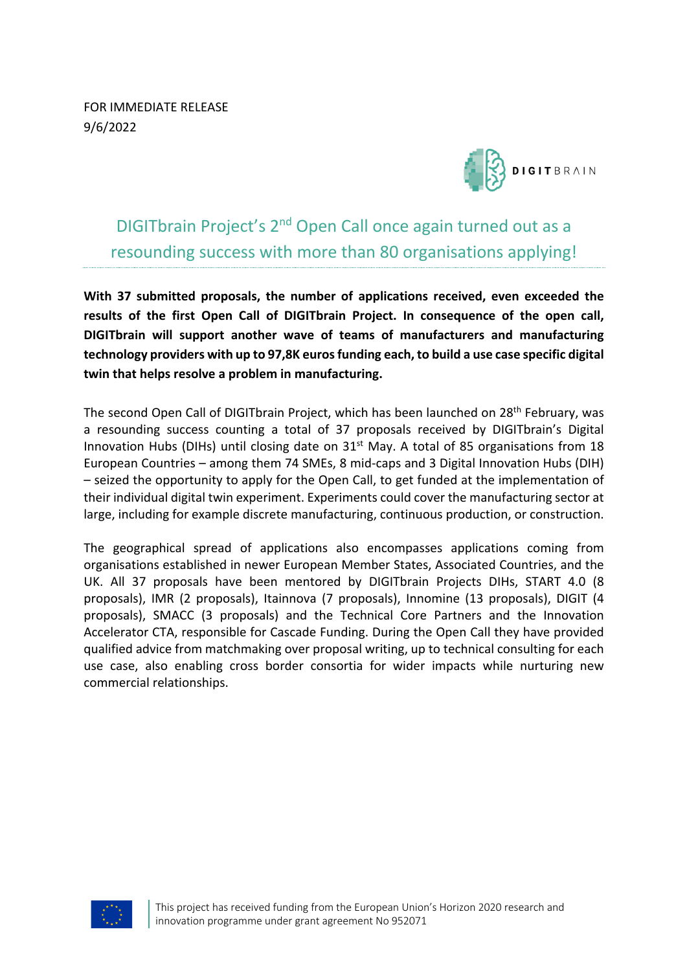FOR IMMEDIATE RELEASE 9/6/2022



DIGITbrain Project's 2nd Open Call once again turned out as a resounding success with more than 80 organisations applying!

**With 37 submitted proposals, the number of applications received, even exceeded the results of the first Open Call of DIGITbrain Project. In consequence of the open call, DIGITbrain will support another wave of teams of manufacturers and manufacturing technology providers with up to 97,8K euros funding each, to build a use case specific digital twin that helps resolve a problem in manufacturing.**

The second Open Call of DIGITbrain Project, which has been launched on 28<sup>th</sup> February, was a resounding success counting a total of 37 proposals received by DIGITbrain's Digital Innovation Hubs (DIHs) until closing date on 31<sup>st</sup> May. A total of 85 organisations from 18 European Countries – among them 74 SMEs, 8 mid-caps and 3 Digital Innovation Hubs (DIH) – seized the opportunity to apply for the Open Call, to get funded at the implementation of their individual digital twin experiment. Experiments could cover the manufacturing sector at large, including for example discrete manufacturing, continuous production, or construction.

The geographical spread of applications also encompasses applications coming from organisations established in newer European Member States, Associated Countries, and the UK. All 37 proposals have been mentored by DIGITbrain Projects DIHs, START 4.0 (8 proposals), IMR (2 proposals), Itainnova (7 proposals), Innomine (13 proposals), DIGIT (4 proposals), SMACC (3 proposals) and the Technical Core Partners and the Innovation Accelerator CTA, responsible for Cascade Funding. During the Open Call they have provided qualified advice from matchmaking over proposal writing, up to technical consulting for each use case, also enabling cross border consortia for wider impacts while nurturing new commercial relationships.